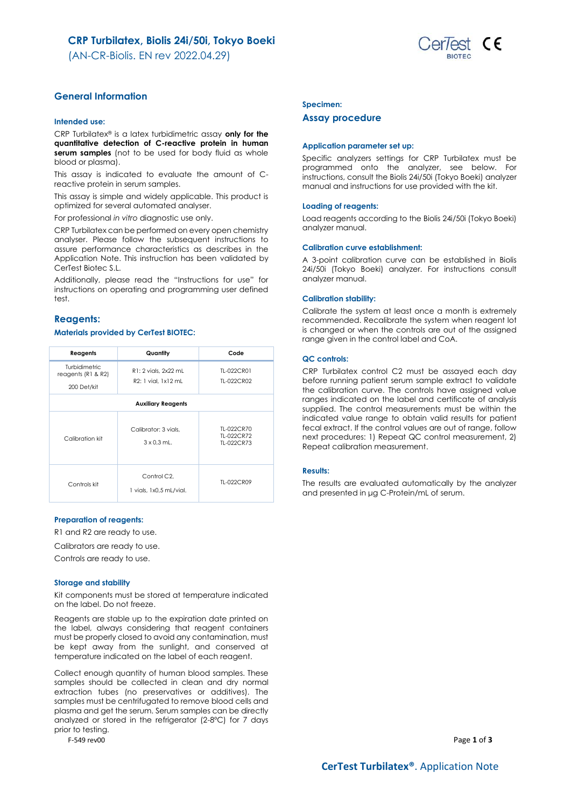(AN-CR-Biolis. EN rev 2022.04.29)



## **General Information**

### **Intended use:**

CRP Turbilatex® is a latex turbidimetric assay **only for the quantitative detection of C-reactive protein in human serum samples** (not to be used for body fluid as whole blood or plasma).

This assay is indicated to evaluate the amount of Creactive protein in serum samples.

This assay is simple and widely applicable. This product is optimized for several automated analyser.

For professional *in vitro* diagnostic use only.

CRP Turbilatex can be performed on every open chemistry analyser. Please follow the subsequent instructions to assure performance characteristics as describes in the Application Note. This instruction has been validated by CerTest Biotec S.L.

Additionally, please read the "Instructions for use" for instructions on operating and programming user defined test.

## **Reagents:**

### **Materials provided by CerTest BIOTEC:**

| Reagents                                  | Quantity                                   | Code                                   |  |  |
|-------------------------------------------|--------------------------------------------|----------------------------------------|--|--|
| Turbidimetric<br>reagents ( $R1$ & $R2$ ) | R1: 2 vials, 2x22 mL                       | TL-022CR01                             |  |  |
| 200 Det/kit                               | R2: 1 vial. 1x12 mL                        | TI-022CR02                             |  |  |
| <b>Auxiliary Reagents</b>                 |                                            |                                        |  |  |
| Calibration kit                           | Calibrator: 3 vials.<br>$3 \times 0.3$ mL. | TI-022CR70<br>TI-022CR72<br>TL-022CR73 |  |  |
| Controls kit                              | Control C2.<br>1 vials, 1x0.5 mL/vial.     | TI-022CR09                             |  |  |

### **Preparation of reagents:**

R1 and R2 are ready to use.

Calibrators are ready to use.

Controls are ready to use.

### **Storage and stability**

Kit components must be stored at temperature indicated on the label. Do not freeze.

Reagents are stable up to the expiration date printed on the label, always considering that reagent containers must be properly closed to avoid any contamination, must be kept away from the sunlight, and conserved at temperature indicated on the label of each reagent.

Collect enough quantity of human blood samples. These samples should be collected in clean and dry normal extraction tubes (no preservatives or additives). The samples must be centrifugated to remove blood cells and plasma and get the serum. Serum samples can be directly analyzed or stored in the refrigerator (2-8ºC) for 7 days prior to testing.

### **Specimen:**

#### **Assay procedure**

#### **Application parameter set up:**

Specific analyzers settings for CRP Turbilatex must be programmed onto the analyzer, see below. For instructions, consult the Biolis 24i/50i (Tokyo Boeki) analyzer manual and instructions for use provided with the kit.

### **Loading of reagents:**

Load reagents according to the Biolis 24i/50i (Tokyo Boeki) analyzer manual.

### **Calibration curve establishment:**

A 3-point calibration curve can be established in Biolis 24i/50i (Tokyo Boeki) analyzer. For instructions consult analyzer manual.

### **Calibration stability:**

Calibrate the system at least once a month is extremely recommended. Recalibrate the system when reagent lot is changed or when the controls are out of the assigned range given in the control label and CoA.

#### **QC controls:**

CRP Turbilatex control C2 must be assayed each day before running patient serum sample extract to validate the calibration curve. The controls have assigned value ranges indicated on the label and certificate of analysis supplied. The control measurements must be within the indicated value range to obtain valid results for patient fecal extract. If the control values are out of range, follow next procedures: 1) Repeat QC control measurement, 2) Repeat calibration measurement.

### **Results:**

The results are evaluated automatically by the analyzer and presented in μg C-Protein/mL of serum.

F-549 rev00 Page **1** of **3**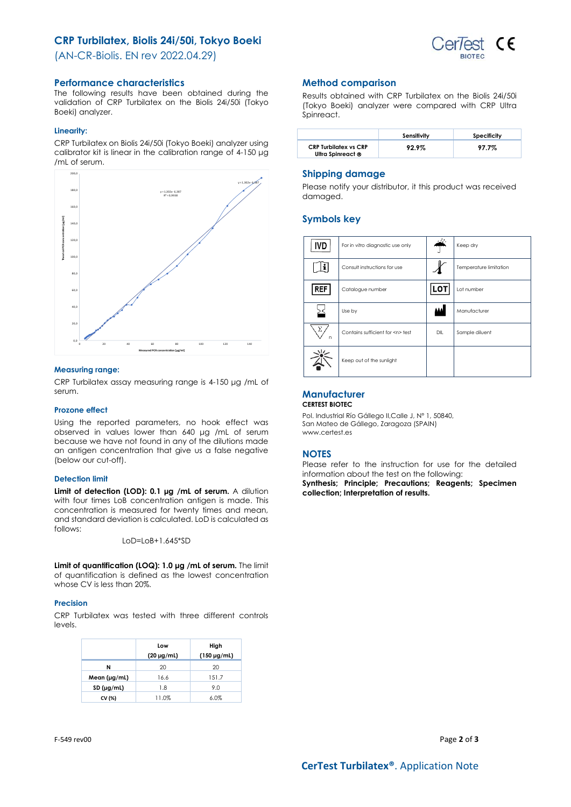## **CRP Turbilatex, Biolis 24i/50i, Tokyo Boeki**



(AN-CR-Biolis. EN rev 2022.04.29)

## **Performance characteristics**

The following results have been obtained during the validation of CRP Turbilatex on the Biolis 24i/50i (Tokyo Boeki) analyzer.

### **Linearity:**

CRP Turbilatex on Biolis 24i/50i (Tokyo Boeki) analyzer using calibrator kit is linear in the calibration range of 4-150 μg /mL of serum.



### **Measuring range:**

CRP Turbilatex assay measuring range is 4-150 μg /mL of serum.

## **Prozone effect**

Using the reported parameters, no hook effect was observed in values lower than 640 μg /mL of serum because we have not found in any of the dilutions made an antigen concentration that give us a false negative (below our cut-off).

## **Detection limit**

**Limit of detection (LOD): 0.1 μg /mL of serum.** A dilution with four times LoB concentration antigen is made. This concentration is measured for twenty times and mean, and standard deviation is calculated. LoD is calculated as follows:

LoD=LoB+1.645\*SD

**Limit of quantification (LOQ): 1.0 μg /mL of serum.** The limit of quantification is defined as the lowest concentration whose CV is less than 20%.

## **Precision**

CRP Turbilatex was tested with three different controls levels.

|                   | Low             | High             |
|-------------------|-----------------|------------------|
|                   | $(20 \mu g/ml)$ | $(150 \mu g/ml)$ |
| N                 | 20              | 20               |
| Mean $(\mu g/ml)$ | 16.6            | 151.7            |
| SD (µg/ml)        | 1.8             | 9.0              |
| CV (%)            | 11.0%           | 6.0%             |

## **Method comparison**

Results obtained with CRP Turbilatex on the Biolis 24i/50i (Tokyo Boeki) analyzer were compared with CRP Ultra Spinreact.

|                                                   | Sensitivity | Specificity |
|---------------------------------------------------|-------------|-------------|
| <b>CRP Turbilatex vs CRP</b><br>Ultra Spinreact ® | 92.9%       | 97.7%       |

## **Shipping damage**

Please notify your distributor, it this product was received damaged.

## **Symbols key**

| IVD        | For in vitro diagnostic use only     | بمنصد | Keep dry               |
|------------|--------------------------------------|-------|------------------------|
|            | Consult instructions for use         |       | Temperature limitation |
| <b>REF</b> | Catalogue number                     | LOT   | Lot number             |
|            | Use by                               | ш     | Manufacturer           |
| Σ<br>n     | Contains sufficient for <n> test</n> | DIL   | Sample diluent         |
|            | Keep out of the sunlight             |       |                        |

## **Manufacturer**

**CERTEST BIOTEC**

Pol. Industrial Río Gállego II,Calle J, Nº 1, 50840, San Mateo de Gállego, Zaragoza (SPAIN) www.certest.es

## **NOTES**

Please refer to the instruction for use for the detailed information about the test on the following:

**Synthesis; Principle; Precautions; Reagents; Specimen collection; Interpretation of results.**

F-549 rev00 Page **2** of **3**